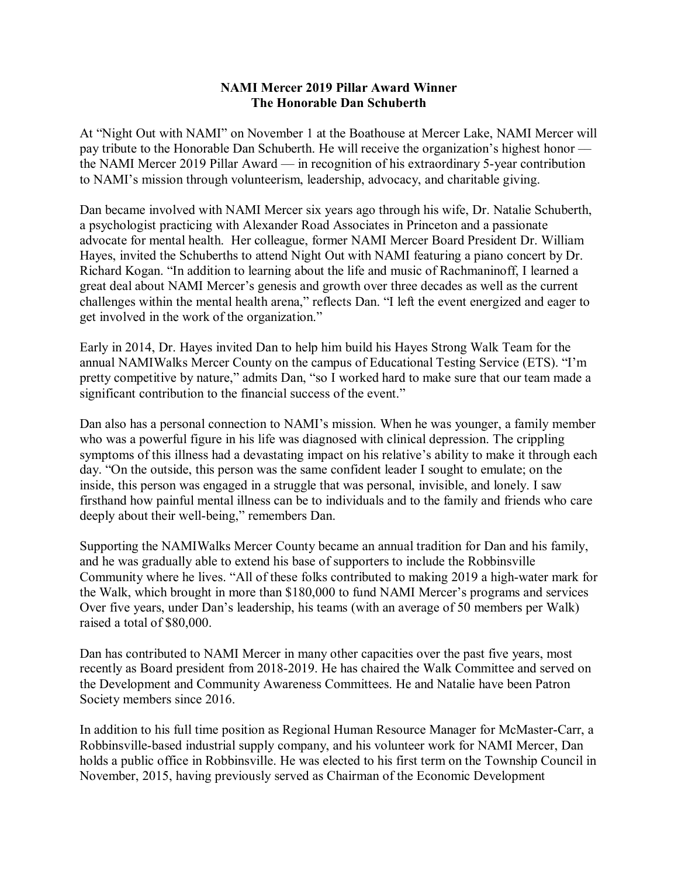## **NAMI Mercer 2019 Pillar Award Winner The Honorable Dan Schuberth**

At "Night Out with NAMI" on November 1 at the Boathouse at Mercer Lake, NAMI Mercer will pay tribute to the Honorable Dan Schuberth. He will receive the organization's highest honor the NAMI Mercer 2019 Pillar Award — in recognition of his extraordinary 5-year contribution to NAMI's mission through volunteerism, leadership, advocacy, and charitable giving.

Dan became involved with NAMI Mercer six years ago through his wife, Dr. Natalie Schuberth, a psychologist practicing with Alexander Road Associates in Princeton and a passionate advocate for mental health. Her colleague, former NAMI Mercer Board President Dr. William Hayes, invited the Schuberths to attend Night Out with NAMI featuring a piano concert by Dr. Richard Kogan. "In addition to learning about the life and music of Rachmaninoff, I learned a great deal about NAMI Mercer's genesis and growth over three decades as well as the current challenges within the mental health arena," reflects Dan. "I left the event energized and eager to get involved in the work of the organization."

Early in 2014, Dr. Hayes invited Dan to help him build his Hayes Strong Walk Team for the annual NAMIWalks Mercer County on the campus of Educational Testing Service (ETS). "I'm pretty competitive by nature," admits Dan, "so I worked hard to make sure that our team made a significant contribution to the financial success of the event."

Dan also has a personal connection to NAMI's mission. When he was younger, a family member who was a powerful figure in his life was diagnosed with clinical depression. The crippling symptoms of this illness had a devastating impact on his relative's ability to make it through each day. "On the outside, this person was the same confident leader I sought to emulate; on the inside, this person was engaged in a struggle that was personal, invisible, and lonely. I saw firsthand how painful mental illness can be to individuals and to the family and friends who care deeply about their well-being," remembers Dan.

Supporting the NAMIWalks Mercer County became an annual tradition for Dan and his family, and he was gradually able to extend his base of supporters to include the Robbinsville Community where he lives. "All of these folks contributed to making 2019 a high-water mark for the Walk, which brought in more than \$180,000 to fund NAMI Mercer's programs and services Over five years, under Dan's leadership, his teams (with an average of 50 members per Walk) raised a total of \$80,000.

Dan has contributed to NAMI Mercer in many other capacities over the past five years, most recently as Board president from 2018-2019. He has chaired the Walk Committee and served on the Development and Community Awareness Committees. He and Natalie have been Patron Society members since 2016.

In addition to his full time position as Regional Human Resource Manager for McMaster-Carr, a Robbinsville-based industrial supply company, and his volunteer work for NAMI Mercer, Dan holds a public office in Robbinsville. He was elected to his first term on the Township Council in November, 2015, having previously served as Chairman of the Economic Development